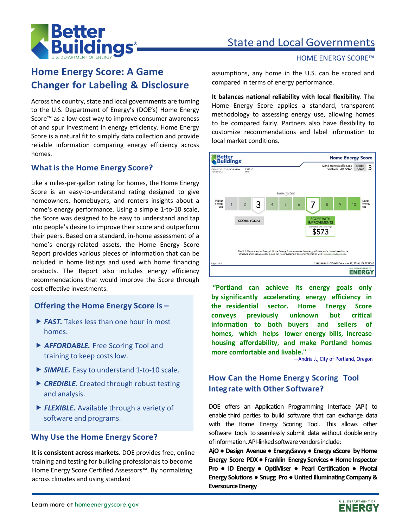

# State and Local Governments

# **Home Energy Score: A Game Changer for Labeling & Disclosure**

Across the country, state and local governments are turning to the U.S. Department of Energy's (DOE's) Home Energy Score™ as a low-cost way to improve consumer awareness of and spur investment in energy efficiency. Home Energy Score is a natural fit to simplify data collection and provide reliable information comparing energy efficiency across homes.

#### **What is the Home Energy Score?**

Like a miles-per-gallon rating for homes, the Home Energy Score is an easy-to-understand rating designed to give homeowners, homebuyers, and renters insights about a home's energy performance. Using a simple 1-to-10 scale, the Score was designed to be easy to understand and tap into people's desire to improve their score and outperform their peers. Based on a standard, in-home assessment of a home's energy-related assets, the Home Energy Score Report provides various pieces of information that can be included in home listings and used with home financing products. The Report also includes energy efficiency recommendations that would improve the Score through cost-effective investments.

#### **Offering the Home Energy Score is –**

- **► FAST.** Takes less than one hour in most homes.
- *AFFORDABLE.* Free Scoring Tool and training to keep costs low.
- **SIMPLE.** Easy to understand 1-to-10 scale.
- ▶ CREDIBLE. Created through robust testing and analysis.
- **FLEXIBLE.** Available through a variety of software and programs.

#### **Why Use the Home Energy Score?**

**It is consistent across markets.** DOE provides free, online training and testing for building professionals to become Home Energy Score Certified Assessors™. By normalizing across climates and using standard

HOME ENERGY SCORE™

assumptions, any home in the U.S. can be scored and compared in terms of energy performance.

**It balances national reliability with local flexibility**. The Home Energy Score applies a standard, transparent methodology to assessing energy use, allowing homes to be compared fairly. Partners also have flexibility to customize recommendations and label information to local market conditions.



**"Portland can achieve its energy goals only by significantly accelerating energy efficiency in the residential sector. Home Energy Score conveys previously unknown but critical information to both buyers and sellers of homes, which helps lower energy bills, increase housing affordability, and make Portland homes more comfortable and livable."**

—Andria J., City of Portland, Oregon

#### **How Can the Home Energ y Scoring Tool Integrate with Other Software?**

DOE offers an Application Programming Interface (API) to enable third parties to build software that can exchange data with the Home Energy Scoring Tool. This allows other software tools to seamlessly submit data without double entry of information. API-linked software vendors include:

**AjO ● Design Avenue ● EnergySavvy ● Energy eScore by Home Energy Score PDX● Franklin Energy Services● Home Inspector Pro ● ID Energy ● OptiMiser ● Pearl Certification ● Pivotal Energy Solutions ● Snugg Pro ● United Illuminating Company & Eversource Energy**